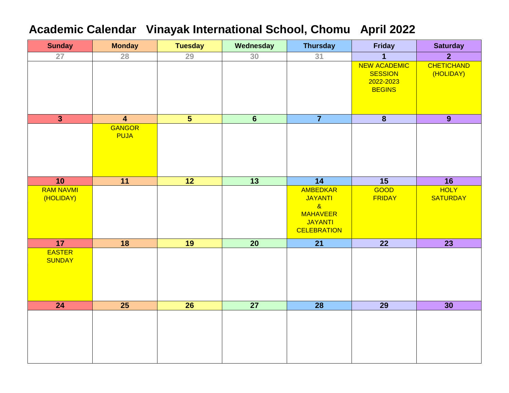### **Academic Calendar Vinayak International School, Chomu April 2022**

| <b>Sunday</b>           | <b>Monday</b>           | <b>Tuesday</b>          | Wednesday        | <b>Thursday</b>            | <b>Friday</b>               | <b>Saturday</b>   |
|-------------------------|-------------------------|-------------------------|------------------|----------------------------|-----------------------------|-------------------|
| $\overline{27}$         | 28                      | 29                      | 30               | 31                         | $\mathbf{1}$                | $\overline{2}$    |
|                         |                         |                         |                  |                            | <b>NEW ACADEMIC</b>         | <b>CHETICHAND</b> |
|                         |                         |                         |                  |                            | <b>SESSION</b><br>2022-2023 | (HOLIDAY)         |
|                         |                         |                         |                  |                            | <b>BEGINS</b>               |                   |
|                         |                         |                         |                  |                            |                             |                   |
|                         |                         |                         |                  |                            |                             |                   |
| $\overline{\mathbf{3}}$ | $\overline{\mathbf{4}}$ | $\overline{\mathbf{5}}$ | $6 \overline{6}$ | $\overline{7}$             | $\overline{\mathbf{8}}$     | 9                 |
|                         | <b>GANGOR</b>           |                         |                  |                            |                             |                   |
|                         | <b>PUJA</b>             |                         |                  |                            |                             |                   |
|                         |                         |                         |                  |                            |                             |                   |
|                         |                         |                         |                  |                            |                             |                   |
|                         |                         |                         |                  |                            |                             |                   |
| 10                      | 11                      | 12                      | $\overline{13}$  | 14                         | 15                          | 16                |
| <b>RAM NAVMI</b>        |                         |                         |                  | <b>AMBEDKAR</b>            | GOOD                        | <b>HOLY</b>       |
| (HOLIDAY)               |                         |                         |                  | <b>JAYANTI</b><br>$\alpha$ | <b>FRIDAY</b>               | <b>SATURDAY</b>   |
|                         |                         |                         |                  | <b>MAHAVEER</b>            |                             |                   |
|                         |                         |                         |                  | <b>JAYANTI</b>             |                             |                   |
|                         |                         |                         |                  | <b>CELEBRATION</b>         |                             |                   |
| 17                      | 18                      | 19                      | $\overline{20}$  | 21                         | $\overline{22}$             | $\overline{23}$   |
| <b>EASTER</b>           |                         |                         |                  |                            |                             |                   |
| <b>SUNDAY</b>           |                         |                         |                  |                            |                             |                   |
|                         |                         |                         |                  |                            |                             |                   |
|                         |                         |                         |                  |                            |                             |                   |
|                         |                         |                         |                  |                            |                             |                   |
| 24                      | 25                      | 26                      | $\overline{27}$  | $\overline{28}$            | $\overline{29}$             | 30                |
|                         |                         |                         |                  |                            |                             |                   |
|                         |                         |                         |                  |                            |                             |                   |
|                         |                         |                         |                  |                            |                             |                   |
|                         |                         |                         |                  |                            |                             |                   |
|                         |                         |                         |                  |                            |                             |                   |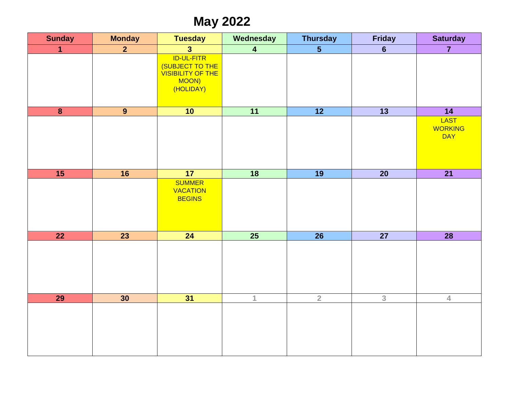## **May 2022**

| <b>Sunday</b>           | <b>Monday</b>  | <b>Tuesday</b>                                                                         | Wednesday               | <b>Thursday</b> | <b>Friday</b>   | <b>Saturday</b>                             |
|-------------------------|----------------|----------------------------------------------------------------------------------------|-------------------------|-----------------|-----------------|---------------------------------------------|
| $\blacktriangleleft$    | $\overline{2}$ | 3 <sup>1</sup>                                                                         | $\overline{\mathbf{4}}$ | $\overline{5}$  | $6\phantom{a}$  | $\overline{7}$                              |
|                         |                | <b>ID-UL-FITR</b><br>(SUBJECT TO THE<br><b>VISIBILITY OF THE</b><br>MOON)<br>(HOLIDAY) |                         |                 |                 |                                             |
| $\overline{\mathbf{8}}$ | $\overline{9}$ | 10                                                                                     | $\overline{11}$         | $\overline{12}$ | $\overline{13}$ | $\overline{14}$                             |
|                         |                |                                                                                        |                         |                 |                 | <b>LAST</b><br><b>WORKING</b><br><b>DAY</b> |
| 15                      | 16             | 17                                                                                     | $\overline{18}$         | $\overline{19}$ | $\overline{20}$ | $\overline{21}$                             |
|                         |                | <b>SUMMER</b><br><b>VACATION</b><br><b>BEGINS</b>                                      |                         |                 |                 |                                             |
| $\overline{22}$         | 23             | 24                                                                                     | 25                      | $\overline{26}$ | $\overline{27}$ | 28                                          |
|                         |                |                                                                                        |                         |                 |                 |                                             |
| 29                      | 30             | 31                                                                                     | $\mathbf{1}$            | $\overline{2}$  | 3               | $\overline{4}$                              |
|                         |                |                                                                                        |                         |                 |                 |                                             |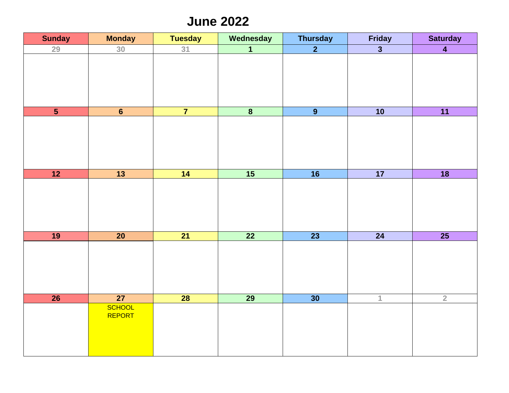### **June 2022**

| <b>Sunday</b>  | <b>Monday</b>   | <b>Tuesday</b>  | Wednesday               | <b>Thursday</b> | <b>Friday</b>             | <b>Saturday</b> |
|----------------|-----------------|-----------------|-------------------------|-----------------|---------------------------|-----------------|
| 29             | 30 <sup>2</sup> | 31              | $\overline{\mathbf{1}}$ | $\overline{2}$  | $\overline{\overline{3}}$ | $\overline{4}$  |
|                |                 |                 |                         |                 |                           |                 |
|                |                 |                 |                         |                 |                           |                 |
|                |                 |                 |                         |                 |                           |                 |
|                |                 |                 |                         |                 |                           |                 |
|                |                 |                 |                         |                 |                           |                 |
| $\overline{5}$ | $6\phantom{a}$  | $\overline{7}$  | $\overline{\mathbf{8}}$ | $\overline{9}$  | 10                        | 11              |
|                |                 |                 |                         |                 |                           |                 |
|                |                 |                 |                         |                 |                           |                 |
|                |                 |                 |                         |                 |                           |                 |
|                |                 |                 |                         |                 |                           |                 |
|                |                 |                 |                         |                 |                           |                 |
| 12             | $\overline{13}$ | 14              | 15                      | 16              | 17                        | $\overline{18}$ |
|                |                 |                 |                         |                 |                           |                 |
|                |                 |                 |                         |                 |                           |                 |
|                |                 |                 |                         |                 |                           |                 |
|                |                 |                 |                         |                 |                           |                 |
|                |                 |                 |                         |                 |                           |                 |
| 19             | $\overline{20}$ | 21              | $\overline{22}$         | $\overline{23}$ | 24                        | 25              |
|                |                 |                 |                         |                 |                           |                 |
|                |                 |                 |                         |                 |                           |                 |
|                |                 |                 |                         |                 |                           |                 |
|                |                 |                 |                         |                 |                           |                 |
|                |                 |                 |                         |                 |                           |                 |
| 26             | 27              | $\overline{28}$ | $\overline{29}$         | 30              | $\overline{1}$            | $\overline{2}$  |
|                | <b>SCHOOL</b>   |                 |                         |                 |                           |                 |
|                | REPORT          |                 |                         |                 |                           |                 |
|                |                 |                 |                         |                 |                           |                 |
|                |                 |                 |                         |                 |                           |                 |
|                |                 |                 |                         |                 |                           |                 |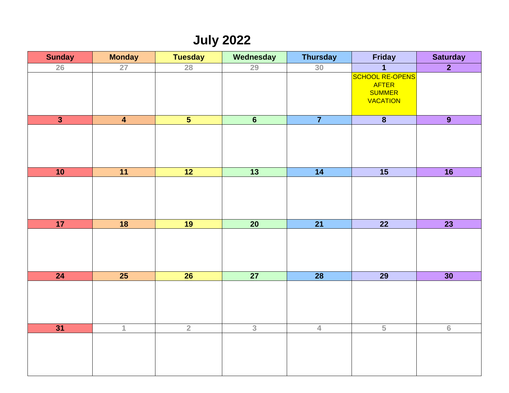## **July 2022**

| <b>Sunday</b>           | <b>Monday</b>           | <b>Tuesday</b>          | Wednesday       | <b>Thursday</b> | <b>Friday</b>                                                       | <b>Saturday</b> |
|-------------------------|-------------------------|-------------------------|-----------------|-----------------|---------------------------------------------------------------------|-----------------|
| 26                      | 27                      | 28                      | 29              | 30              | $\mathbf 1$                                                         | $\overline{2}$  |
|                         |                         |                         |                 |                 | <b>SCHOOL RE-OPENS</b><br>AFTER<br><b>SUMMER</b><br><b>VACATION</b> |                 |
| $\overline{\mathbf{3}}$ | $\overline{\mathbf{4}}$ | $\overline{\mathbf{5}}$ | $6\overline{6}$ | $\overline{7}$  | $\overline{\mathbf{8}}$                                             | 9               |
|                         |                         |                         |                 |                 |                                                                     |                 |
| 10                      | 11                      | 12                      | $\overline{13}$ | $\overline{14}$ | $\overline{15}$                                                     | $\overline{16}$ |
|                         |                         |                         |                 |                 |                                                                     |                 |
| 17                      | $\overline{18}$         | 19                      | $\overline{20}$ | $\overline{21}$ | $\overline{22}$                                                     | $\overline{23}$ |
|                         |                         |                         |                 |                 |                                                                     |                 |
| 24                      | 25                      | $\overline{26}$         | 27              | $\overline{28}$ | $\overline{29}$                                                     | 30              |
|                         |                         |                         |                 |                 |                                                                     |                 |
| 31                      | $\mathbf 1$             | $\overline{2}$          | $\overline{3}$  | $\overline{4}$  | $\overline{5}$                                                      | 6               |
|                         |                         |                         |                 |                 |                                                                     |                 |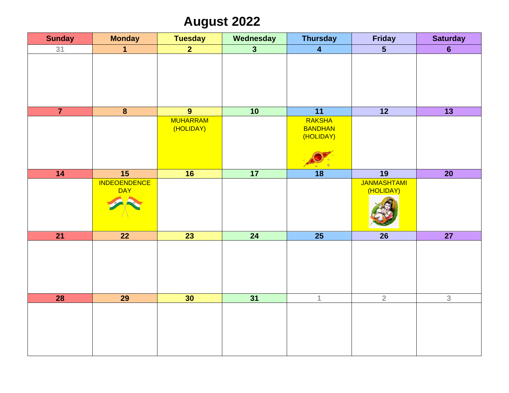# **August 2022**

| <b>Sunday</b>   | <b>Monday</b>                     | <b>Tuesday</b>               | Wednesday       | <b>Thursday</b>                              | <b>Friday</b>                   | <b>Saturday</b> |
|-----------------|-----------------------------------|------------------------------|-----------------|----------------------------------------------|---------------------------------|-----------------|
| 31              | $\overline{1}$                    | 2 <sup>1</sup>               | 3 <sup>1</sup>  | $\overline{\mathbf{4}}$                      | $5\phantom{1}$                  | 6 <sup>1</sup>  |
|                 |                                   |                              |                 |                                              |                                 |                 |
| $\overline{7}$  | $\overline{\mathbf{8}}$           | $\overline{9}$               | 10              | $\overline{11}$                              | 12                              | $\overline{13}$ |
|                 |                                   | <b>MUHARRAM</b><br>(HOLIDAY) |                 | <b>RAKSHA</b><br><b>BANDHAN</b><br>(HOLIDAY) |                                 |                 |
| 14              | 15                                | 16                           | 17              | $\overline{18}$                              | $\overline{19}$                 | $\overline{20}$ |
|                 | <b>INDEOENDENCE</b><br><b>DAY</b> |                              |                 |                                              | <b>JANMASHTAMI</b><br>(HOLIDAY) |                 |
| $\overline{21}$ | 22                                | $\overline{23}$              | 24              | $\overline{25}$                              | <b>26</b>                       | 27              |
|                 |                                   |                              |                 |                                              |                                 |                 |
| <b>28</b>       | $\overline{29}$                   | 30                           | $\overline{31}$ | $\mathbf{1}$                                 | $\overline{2}$                  | $\overline{3}$  |
|                 |                                   |                              |                 |                                              |                                 |                 |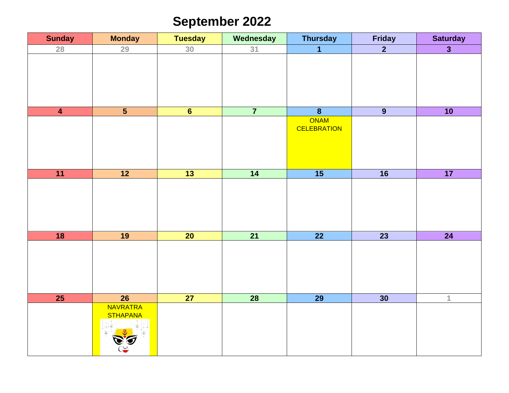# **September 2022**

| <b>Sunday</b>   | <b>Monday</b>                      | <b>Tuesday</b>  | Wednesday       | <b>Thursday</b>    | Friday          | <b>Saturday</b>         |
|-----------------|------------------------------------|-----------------|-----------------|--------------------|-----------------|-------------------------|
| 28              | 29                                 | 30              | 31              | $\overline{1}$     | $\overline{2}$  | $\overline{\mathbf{3}}$ |
|                 |                                    |                 |                 |                    |                 |                         |
|                 |                                    |                 |                 |                    |                 |                         |
|                 |                                    |                 |                 |                    |                 |                         |
| $\overline{4}$  | $\overline{5}$                     | 6               | $\overline{7}$  | $\overline{8}$     | $\overline{9}$  | 10                      |
|                 |                                    |                 |                 | ONAM               |                 |                         |
|                 |                                    |                 |                 | <b>CELEBRATION</b> |                 |                         |
|                 |                                    |                 |                 |                    |                 |                         |
|                 |                                    |                 |                 |                    |                 |                         |
|                 |                                    |                 |                 |                    |                 |                         |
| 11              | $\overline{12}$                    | 13              | 14              | 15                 | $\overline{16}$ | 17                      |
|                 |                                    |                 |                 |                    |                 |                         |
|                 |                                    |                 |                 |                    |                 |                         |
|                 |                                    |                 |                 |                    |                 |                         |
|                 |                                    |                 |                 |                    |                 |                         |
| 18              | 19                                 | $\overline{20}$ | $\overline{21}$ | $\overline{22}$    | $\overline{23}$ | $\overline{24}$         |
|                 |                                    |                 |                 |                    |                 |                         |
|                 |                                    |                 |                 |                    |                 |                         |
|                 |                                    |                 |                 |                    |                 |                         |
|                 |                                    |                 |                 |                    |                 |                         |
|                 |                                    |                 |                 |                    |                 |                         |
| $\overline{25}$ | $\overline{26}$<br><b>NAVRATRA</b> | $\overline{27}$ | $\overline{28}$ | $\overline{29}$    | 30              | $\overline{1}$          |
|                 | <b>STHAPANA</b>                    |                 |                 |                    |                 |                         |
|                 |                                    |                 |                 |                    |                 |                         |
|                 |                                    |                 |                 |                    |                 |                         |
|                 |                                    |                 |                 |                    |                 |                         |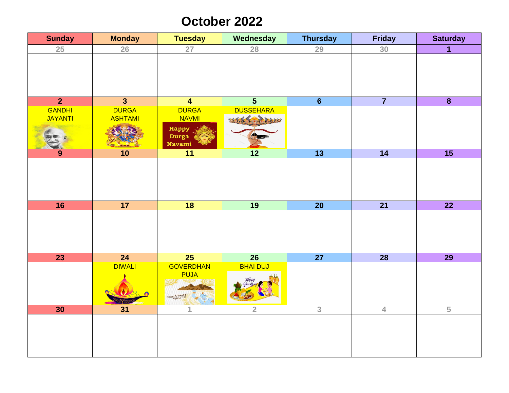### **October 2022**

| <b>Sunday</b>  | <b>Monday</b>  | <b>Tuesday</b>     | Wednesday                                | <b>Thursday</b> | <b>Friday</b>   | <b>Saturday</b>         |
|----------------|----------------|--------------------|------------------------------------------|-----------------|-----------------|-------------------------|
| 25             | 26             | 27                 | 28                                       | 29              | 30              | $\mathbf{1}$            |
|                |                |                    |                                          |                 |                 |                         |
|                |                |                    |                                          |                 |                 |                         |
|                |                |                    |                                          |                 |                 |                         |
| $\overline{2}$ | $\overline{3}$ | $\overline{4}$     | $\overline{\mathbf{5}}$                  | $\overline{6}$  | $\overline{7}$  | $\overline{\mathbf{8}}$ |
| GANDHI         | <b>DURGA</b>   | <b>DURGA</b>       | <b>DUSSEHARA</b>                         |                 |                 |                         |
| JAYANTI        | <b>ASHTAMI</b> | <b>NAVMI</b>       | $\left\langle \rightarrow \right\rangle$ |                 |                 |                         |
|                |                | <b>Happy</b>       |                                          |                 |                 |                         |
|                |                | Durga              |                                          |                 |                 |                         |
|                |                | <b>Navami</b>      |                                          |                 |                 |                         |
| 9              | 10             | $\overline{11}$    | $\overline{12}$                          | $\overline{13}$ | $\overline{14}$ | $\overline{15}$         |
|                |                |                    |                                          |                 |                 |                         |
|                |                |                    |                                          |                 |                 |                         |
|                |                |                    |                                          |                 |                 |                         |
|                |                |                    |                                          |                 |                 |                         |
| 16             | 17             | 18                 | 19                                       | $\overline{20}$ | $\overline{21}$ | $\overline{22}$         |
|                |                |                    |                                          |                 |                 |                         |
|                |                |                    |                                          |                 |                 |                         |
|                |                |                    |                                          |                 |                 |                         |
|                |                |                    |                                          |                 |                 |                         |
| 23             | 24             | $\overline{25}$    | $\overline{26}$                          | $\overline{27}$ | $\overline{28}$ | $\overline{29}$         |
|                | <b>DIWALI</b>  | <b>GOVERDHAN</b>   | <b>BHAI DUJ</b>                          |                 |                 |                         |
|                |                | <b>PUJA</b>        | Happy<br>Dhai O                          |                 |                 |                         |
|                |                |                    |                                          |                 |                 |                         |
|                |                | Happy<br>Govardhan |                                          |                 |                 |                         |
| 30             | 31             | 1                  | $\overline{2}$                           | $\overline{3}$  | $\overline{4}$  | $\overline{5}$          |
|                |                |                    |                                          |                 |                 |                         |
|                |                |                    |                                          |                 |                 |                         |
|                |                |                    |                                          |                 |                 |                         |
|                |                |                    |                                          |                 |                 |                         |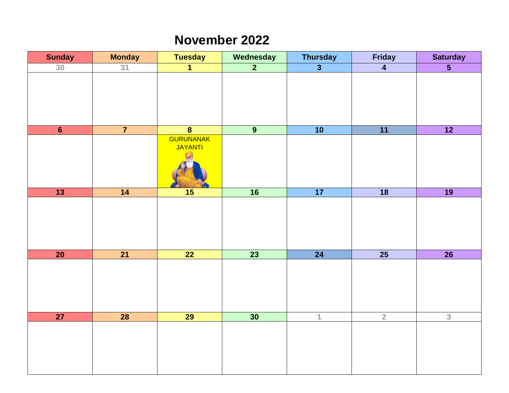#### **November 2022**

| <b>Sunday</b>   | <b>Monday</b>   | <b>Tuesday</b>              | Wednesday      | <b>Thursday</b>         | Friday          | <b>Saturday</b>                    |
|-----------------|-----------------|-----------------------------|----------------|-------------------------|-----------------|------------------------------------|
| 30              | 31              | $\overline{\mathbf{1}}$     | $\overline{2}$ | $\overline{\mathbf{3}}$ | $\overline{4}$  | $\overline{\overline{\mathbf{5}}}$ |
|                 |                 |                             |                |                         |                 |                                    |
| $\overline{6}$  | $\overline{7}$  | $\overline{\mathbf{8}}$     | $\overline{9}$ | 10                      | $\overline{11}$ | $\overline{12}$                    |
|                 |                 | <b>GURUNANAK</b><br>JAYANTI |                |                         |                 |                                    |
| $\overline{13}$ | $\overline{14}$ | 15                          | 16             | 17                      | $\overline{18}$ | 19                                 |
|                 |                 |                             |                |                         |                 |                                    |
| 20              | $\overline{21}$ | $\overline{22}$             | 23             | 24                      | $\overline{25}$ | 26                                 |
|                 |                 |                             |                |                         |                 |                                    |
| 27              | $\overline{28}$ | 29                          | 30             | $\overline{1}$          | $\overline{2}$  | $\overline{3}$                     |
|                 |                 |                             |                |                         |                 |                                    |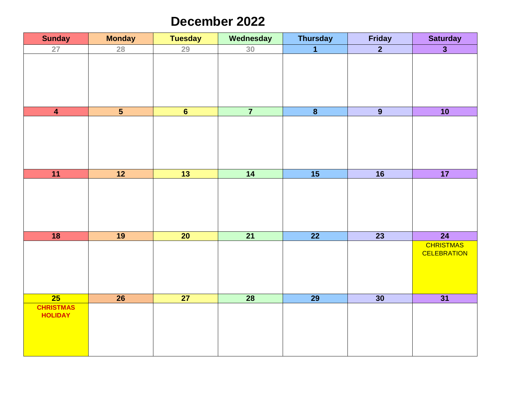#### **December 2022**

| <b>Sunday</b>                      | <b>Monday</b>           | <b>Tuesday</b>  | Wednesday       | <b>Thursday</b>         | <b>Friday</b>   | <b>Saturday</b>                        |
|------------------------------------|-------------------------|-----------------|-----------------|-------------------------|-----------------|----------------------------------------|
| 27                                 | 28                      | 29              | 30              | $\overline{1}$          | $\overline{2}$  | $\overline{\mathbf{3}}$                |
|                                    |                         |                 |                 |                         |                 |                                        |
| $\overline{\mathbf{4}}$            | $\overline{\mathbf{5}}$ | $6\phantom{1}$  | $\overline{7}$  | $\overline{\mathbf{8}}$ | $\overline{9}$  | 10                                     |
|                                    |                         |                 |                 |                         |                 |                                        |
| 11                                 | $\overline{12}$         | $\overline{13}$ | $\overline{14}$ | $\overline{15}$         | $\overline{16}$ | 17                                     |
|                                    |                         |                 |                 |                         |                 |                                        |
| 18                                 | 19                      | $\overline{20}$ | $\overline{21}$ | $\overline{22}$         | $\overline{23}$ | $\overline{24}$                        |
|                                    |                         |                 |                 |                         |                 | <b>CHRISTMAS</b><br><b>CELEBRATION</b> |
| $\overline{25}$                    | $\overline{26}$         | $\overline{27}$ | $\overline{28}$ | $\overline{29}$         | 30              | $\overline{31}$                        |
| <b>CHRISTMAS</b><br><b>HOLIDAY</b> |                         |                 |                 |                         |                 |                                        |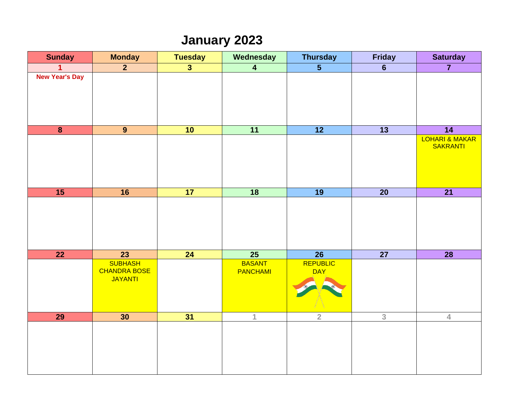# **January 2023**

| <b>Sunday</b>         | <b>Monday</b>                                           | <b>Tuesday</b>          | Wednesday                        | <b>Thursday</b>                    | <b>Friday</b>            | <b>Saturday</b>                   |
|-----------------------|---------------------------------------------------------|-------------------------|----------------------------------|------------------------------------|--------------------------|-----------------------------------|
| 1                     | $\overline{2}$                                          | $\overline{\mathbf{3}}$ | $\overline{4}$                   | $\overline{\overline{\mathbf{5}}}$ | $6\phantom{1}$           | $\overline{7}$                    |
| <b>New Year's Day</b> |                                                         |                         |                                  |                                    |                          |                                   |
| $\boldsymbol{8}$      | 9 <sup>°</sup>                                          | 10                      | 11                               | 12                                 | $\overline{\mathbf{13}}$ | 14                                |
|                       |                                                         |                         |                                  |                                    |                          | LOHARI & MAKAR<br><b>SAKRANTI</b> |
| 15                    | 16                                                      | 17                      | 18                               | 19                                 | $\overline{20}$          | $\overline{21}$                   |
|                       |                                                         |                         |                                  |                                    |                          |                                   |
| $\overline{22}$       | $\overline{23}$                                         | 24                      | $\overline{25}$                  | $\overline{26}$                    | $\overline{27}$          | $\overline{28}$                   |
|                       | <b>SUBHASH</b><br><b>CHANDRA BOSE</b><br><b>JAYANTI</b> |                         | <b>BASANT</b><br><b>PANCHAMI</b> | REPUBLIC<br><b>DAY</b>             |                          |                                   |
| $\overline{29}$       | 30                                                      | 31                      | $\mathbf{1}$                     | $\overline{2}$                     | $\overline{3}$           | $\overline{4}$                    |
|                       |                                                         |                         |                                  |                                    |                          |                                   |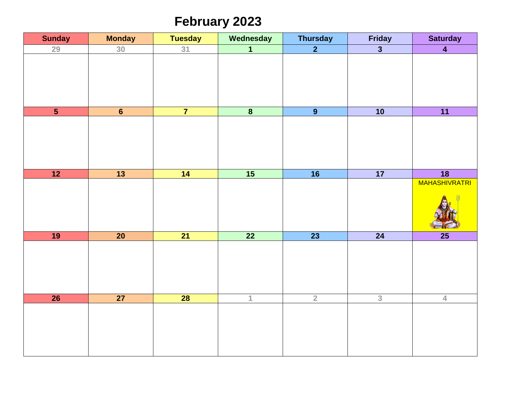## **February 2023**

| <b>Sunday</b>           | <b>Monday</b>   | <b>Tuesday</b>  | Wednesday               | <b>Thursday</b> | Friday                  | <b>Saturday</b>      |
|-------------------------|-----------------|-----------------|-------------------------|-----------------|-------------------------|----------------------|
| 29                      | 30              | 31              | $\overline{1}$          | $\overline{2}$  | $\overline{\mathbf{3}}$ | $\overline{4}$       |
|                         |                 |                 |                         |                 |                         |                      |
| $\overline{\mathbf{5}}$ | 6               | $\overline{7}$  | $\overline{\mathbf{8}}$ | $\overline{9}$  | 10                      | 11                   |
|                         |                 |                 |                         |                 |                         |                      |
| 12                      | $\overline{13}$ | $\overline{14}$ | 15                      | 16              | 17                      | 18                   |
|                         |                 |                 |                         |                 |                         | <b>MAHASHIVRATRI</b> |
| 19                      | $\overline{20}$ | $\overline{21}$ | $\overline{22}$         | $\overline{23}$ | 24                      | $\overline{25}$      |
|                         |                 |                 |                         |                 |                         |                      |
| 26                      | $\overline{27}$ | $\overline{28}$ | $\mathbf{1}$            | $\overline{2}$  | $\overline{3}$          | $\overline{4}$       |
|                         |                 |                 |                         |                 |                         |                      |